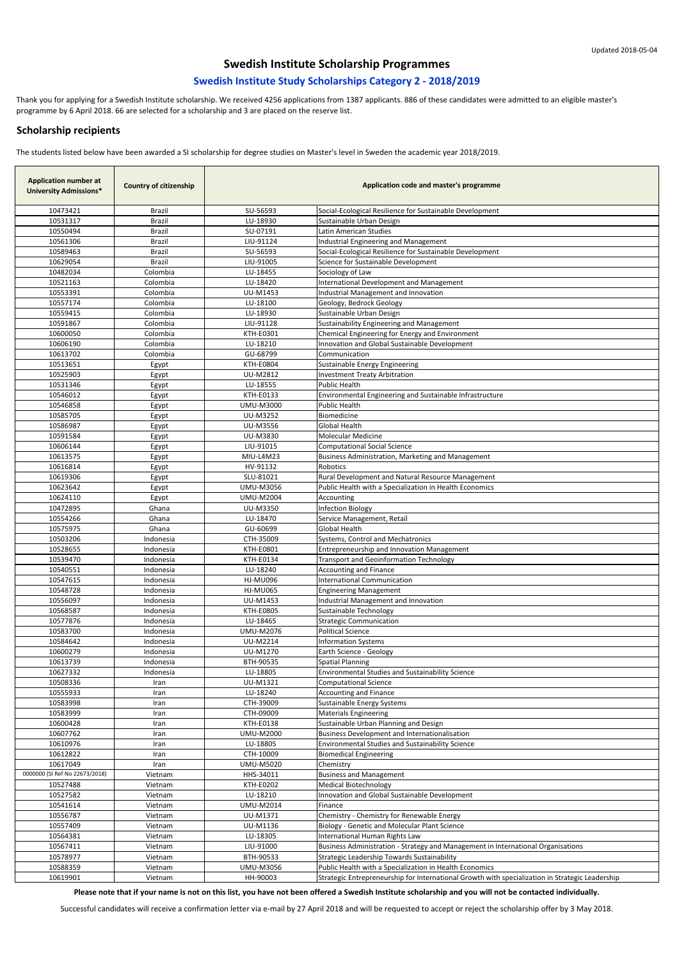| <b>Application number at</b><br><b>University Admissions*</b> | <b>Country of citizenship</b> | Application code and master's programme |                                                                                                 |
|---------------------------------------------------------------|-------------------------------|-----------------------------------------|-------------------------------------------------------------------------------------------------|
| 10473421                                                      | Brazil                        | SU-56593                                | Social-Ecological Resilience for Sustainable Development                                        |
| 10531317                                                      | <b>Brazil</b>                 | LU-18930                                | Sustainable Urban Design                                                                        |
| 10550494                                                      | <b>Brazil</b>                 | SU-07191                                | Latin American Studies                                                                          |
| 10561306                                                      | <b>Brazil</b>                 | LIU-91124                               | Industrial Engineering and Management                                                           |
| 10589463                                                      | Brazil                        | SU-56593                                | Social-Ecological Resilience for Sustainable Development                                        |
| 10629054                                                      | Brazil                        | LIU-91005                               | Science for Sustainable Development                                                             |
| 10482034                                                      | Colombia                      | LU-18455                                | Sociology of Law                                                                                |
| 10521163                                                      | Colombia                      | LU-18420                                | International Development and Management                                                        |
| 10553391                                                      | Colombia                      | UU-M1453                                | Industrial Management and Innovation                                                            |
| 10557174<br>10559415                                          | Colombia<br>Colombia          | LU-18100<br>LU-18930                    | Geology, Bedrock Geology<br>Sustainable Urban Design                                            |
| 10591867                                                      | Colombia                      | LIU-91128                               | Sustainability Engineering and Management                                                       |
| 10600050                                                      | Colombia                      | KTH-E0301                               | Chemical Engineering for Energy and Environment                                                 |
| 10606190                                                      | Colombia                      | LU-18210                                | Innovation and Global Sustainable Development                                                   |
| 10613702                                                      | Colombia                      | GU-68799                                | Communication                                                                                   |
| 10513651                                                      | Egypt                         | <b>KTH-E0804</b>                        | Sustainable Energy Engineering                                                                  |
| 10525903                                                      | Egypt                         | <b>UU-M2812</b>                         | <b>Investment Treaty Arbitration</b>                                                            |
| 10531346                                                      | Egypt                         | LU-18555                                | <b>Public Health</b>                                                                            |
| 10546012                                                      | Egypt                         | KTH-E0133                               | Environmental Engineering and Sustainable Infrastructure                                        |
| 10546858                                                      | Egypt                         | <b>UMU-M3000</b>                        | <b>Public Health</b>                                                                            |
| 10585705                                                      | Egypt                         | UU-M3252                                | Biomedicine                                                                                     |
| 10586987                                                      | Egypt                         | <b>UU-M3556</b>                         | <b>Global Health</b>                                                                            |
| 10591584<br>10606144                                          | Egypt                         | <b>UU-M3830</b><br>LIU-91015            | <b>Molecular Medicine</b>                                                                       |
| 10613575                                                      | Egypt<br>Egypt                | MIU-L4M23                               | <b>Computational Social Science</b><br>Business Administration, Marketing and Management        |
| 10616814                                                      | Egypt                         | HV-91132                                | Robotics                                                                                        |
| 10619306                                                      | Egypt                         | SLU-81021                               | Rural Development and Natural Resource Management                                               |
| 10623642                                                      | Egypt                         | <b>UMU-M3056</b>                        | Public Health with a Specialization in Health Economics                                         |
| 10624110                                                      | Egypt                         | <b>UMU-M2004</b>                        | Accounting                                                                                      |
| 10472895                                                      | Ghana                         | <b>UU-M3350</b>                         | <b>Infection Biology</b>                                                                        |
| 10554266                                                      | Ghana                         | LU-18470                                | Service Management, Retail                                                                      |
| 10575975                                                      | Ghana                         | GU-60699                                | <b>Global Health</b>                                                                            |
| 10503206                                                      | Indonesia                     | CTH-35009                               | Systems, Control and Mechatronics                                                               |
| 10528655                                                      | Indonesia                     | KTH-E0801                               | Entrepreneurship and Innovation Management                                                      |
| 10539470                                                      | Indonesia<br>Indonesia        | KTH-E0134<br>LU-18240                   | <b>Transport and Geoinformation Technology</b>                                                  |
| 10540551<br>10547615                                          | Indonesia                     | <b>HJ-MU096</b>                         | Accounting and Finance<br><b>International Communication</b>                                    |
| 10548728                                                      | Indonesia                     | <b>HJ-MU065</b>                         | <b>Engineering Management</b>                                                                   |
| 10556097                                                      | Indonesia                     | <b>UU-M1453</b>                         | Industrial Management and Innovation                                                            |
| 10568587                                                      | Indonesia                     | KTH-E0805                               | Sustainable Technology                                                                          |
| 10577876                                                      | Indonesia                     | LU-18465                                | <b>Strategic Communication</b>                                                                  |
| 10583700                                                      | Indonesia                     | <b>UMU-M2076</b>                        | <b>Political Science</b>                                                                        |
| 10584642                                                      | Indonesia                     | <b>UU-M2214</b>                         | <b>Information Systems</b>                                                                      |
| 10600279                                                      | Indonesia                     | UU-M1270                                | Earth Science - Geology                                                                         |
| 10613739                                                      | Indonesia                     | BTH-90535                               | <b>Spatial Planning</b>                                                                         |
| 10627332                                                      | Indonesia                     | LU-18805                                | <b>Environmental Studies and Sustainability Science</b>                                         |
| 10508336                                                      | Iran                          | UU-M1321                                | <b>Computational Science</b>                                                                    |
| 10555933<br>10583998                                          | Iran                          | LU-18240<br>CTH-39009                   | <b>Accounting and Finance</b><br><b>Sustainable Energy Systems</b>                              |
| 10583999                                                      | Iran<br>Iran                  | CTH-09009                               | <b>Materials Engineering</b>                                                                    |
| 10600428                                                      | Iran                          | KTH-E0138                               | Sustainable Urban Planning and Design                                                           |
| 10607762                                                      | Iran                          | <b>UMU-M2000</b>                        | <b>Business Development and Internationalisation</b>                                            |
| 10610976                                                      | Iran                          | LU-18805                                | <b>Environmental Studies and Sustainability Science</b>                                         |
| 10612822                                                      | Iran                          | CTH-10009                               | <b>Biomedical Engineering</b>                                                                   |
| 10617049                                                      | Iran                          | <b>UMU-M5020</b>                        | Chemistry                                                                                       |
| 0000000 (SI Ref No 22673/2018)                                | Vietnam                       | HHS-34011                               | <b>Business and Management</b>                                                                  |
| 10527488                                                      | Vietnam                       | <b>KTH-E0202</b>                        | <b>Medical Biotechnology</b>                                                                    |
| 10527582                                                      | Vietnam                       | LU-18210                                | Innovation and Global Sustainable Development                                                   |
| 10541614                                                      | Vietnam                       | <b>UMU-M2014</b>                        | Finance                                                                                         |
| 10556787                                                      | Vietnam                       | UU-M1371                                | Chemistry - Chemistry for Renewable Energy                                                      |
| 10557409<br>10564381                                          | Vietnam<br>Vietnam            | UU-M1136<br>LU-18305                    | Biology - Genetic and Molecular Plant Science<br>International Human Rights Law                 |
| 10567411                                                      | Vietnam                       | LIU-91000                               | Business Administration - Strategy and Management in International Organisations                |
| 10578977                                                      | Vietnam                       | BTH-90533                               | Strategic Leadership Towards Sustainability                                                     |
| 10588359                                                      | Vietnam                       | <b>UMU-M3056</b>                        | Public Health with a Specialization in Health Economics                                         |
| 10619901                                                      | Vietnam                       | HH-90003                                | Strategic Entrepreneurship for International Growth with specialization in Strategic Leadership |

**Please note that if your name is not on this list, you have not been offered a Swedish Institute scholarship and you will not be contacted individually.**

Successful candidates will receive a confirmation letter via e-mail by 27 April 2018 and will be requested to accept or reject the scholarship offer by 3 May 2018.

# **Swedish Institute Scholarship Programmes**

### **Swedish Institute Study Scholarships Category 2 - 2018/2019**

Thank you for applying for a Swedish Institute scholarship. We received 4256 applications from 1387 applicants. 886 of these candidates were admitted to an eligible master's programme by 6 April 2018. 66 are selected for a scholarship and 3 are placed on the reserve list.

#### **Scholarship recipients**

The students listed below have been awarded a SI scholarship for degree studies on Master's level in Sweden the academic year 2018/2019.